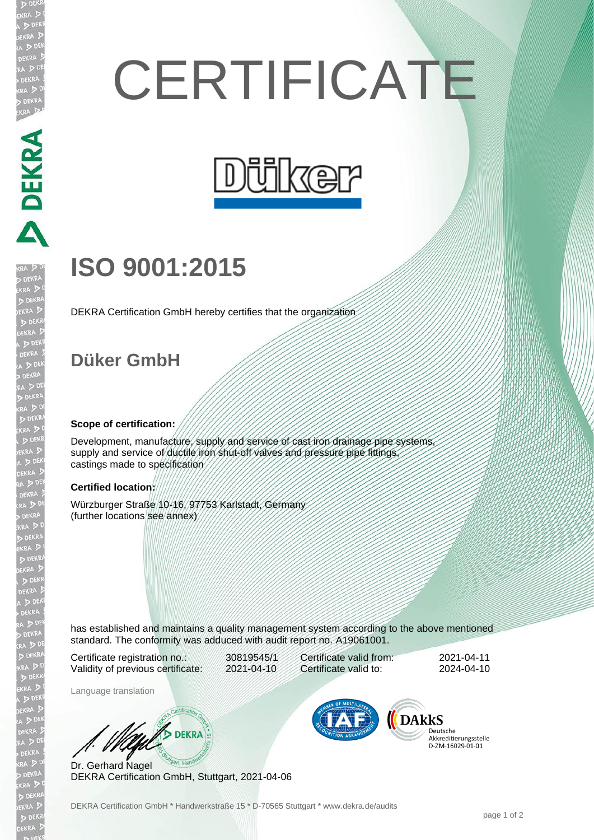# **CERTIFICATE**



## **ISO 9001:2015**

DEKRA Certification GmbH hereby certifies that the organization

### **Düker GmbH**

DEKRA DEKRA DEKRA

EKR

#### **Scope of certification:**

Development, manufacture, supply and service of cast iron drainage pipe systems supply and service of ductile iron shut-off valves and pressure pipe fittings, castings made to specification

#### **Certified location:**

Würzburger Straße 10-16, 97753 Karlstadt, Germany (further locations see annex)

has established and maintains a quality management system according to the above mentioned standard. The conformity was adduced with audit report no. A19061001.

Certificate registration no.: 30819545/1 Validity of previous certificate: 2021-04-10

Certificate valid from: 2021-04-11 Certificate valid to: 2024-04-10

Language translation

W/S DEKRA

Dr. Gerhard Nagel DEKRA Certification GmbH, Stuttgart, 2021-04-06



Deutsche Akkreditierungsstelle